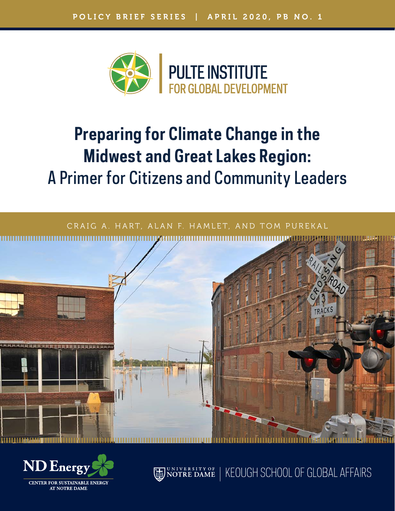

# **Preparing for Climate Change in the Midwest and Great Lakes Region:** A Primer for Citizens and Community Leaders





**CENTER FOR SUSTAINABLE AT NOTRE DAME** 

UNIVERSITY OF NOTRE DAME KEOUGH SCHOOL OF GLOBAL AFFAIRS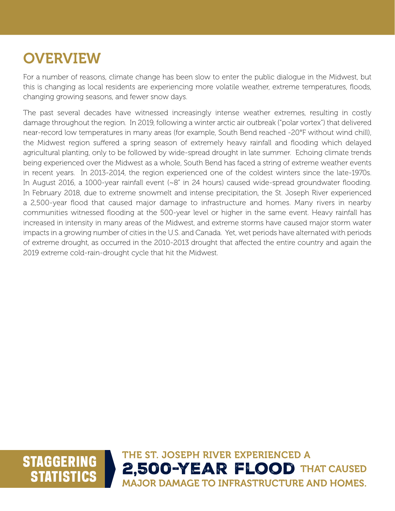### **OVERVIEW**

For a number of reasons, climate change has been slow to enter the public dialogue in the Midwest, but this is changing as local residents are experiencing more volatile weather, extreme temperatures, floods, changing growing seasons, and fewer snow days.

The past several decades have witnessed increasingly intense weather extremes, resulting in costly damage throughout the region. In 2019, following a winter arctic air outbreak ("polar vortex") that delivered near-record low temperatures in many areas (for example, South Bend reached -20°F without wind chill), the Midwest region suffered a spring season of extremely heavy rainfall and flooding which delayed agricultural planting, only to be followed by wide-spread drought in late summer. Echoing climate trends being experienced over the Midwest as a whole, South Bend has faced a string of extreme weather events in recent years. In 2013-2014, the region experienced one of the coldest winters since the late-1970s. In August 2016, a 1000-year rainfall event (~8" in 24 hours) caused wide-spread groundwater flooding. In February 2018, due to extreme snowmelt and intense precipitation, the St. Joseph River experienced a 2,500-year flood that caused major damage to infrastructure and homes. Many rivers in nearby communities witnessed flooding at the 500-year level or higher in the same event. Heavy rainfall has increased in intensity in many areas of the Midwest, and extreme storms have caused major storm water impacts in a growing number of cities in the U.S. and Canada. Yet, wet periods have alternated with periods of extreme drought, as occurred in the 2010-2013 drought that affected the entire country and again the 2019 extreme cold-rain-drought cycle that hit the Midwest.

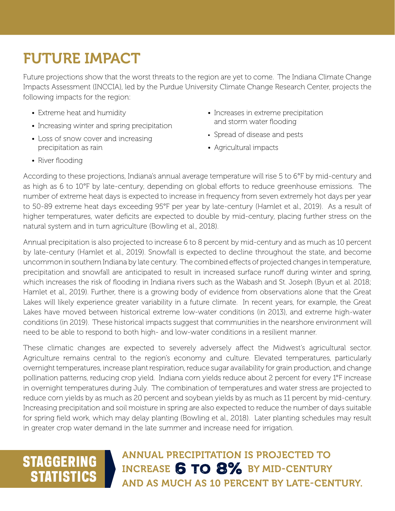## FUTURE IMPACT

Future projections show that the worst threats to the region are yet to come. The Indiana Climate Change Impacts Assessment (INCCIA), led by the Purdue University Climate Change Research Center, projects the following impacts for the region:

- Extreme heat and humidity
- Increasing winter and spring precipitation
- Loss of snow cover and increasing precipitation as rain
- Increases in extreme precipitation and storm water flooding
- Spread of disease and pests
- Agricultural impacts

• River flooding

According to these projections, Indiana's annual average temperature will rise 5 to 6°F by mid-century and as high as 6 to 10°F by late-century, depending on global efforts to reduce greenhouse emissions. The number of extreme heat days is expected to increase in frequency from seven extremely hot days per year to 50-89 extreme heat days exceeding 95°F per year by late-century (Hamlet et al., 2019). As a result of higher temperatures, water deficits are expected to double by mid-century, placing further stress on the natural system and in turn agriculture (Bowling et al., 2018).

Annual precipitation is also projected to increase 6 to 8 percent by mid-century and as much as 10 percent by late-century (Hamlet et al., 2019). Snowfall is expected to decline throughout the state, and become uncommon in southern Indiana by late century. The combined effects of projected changes in temperature, precipitation and snowfall are anticipated to result in increased surface runoff during winter and spring, which increases the risk of flooding in Indiana rivers such as the Wabash and St. Joseph (Byun et al. 2018; Hamlet et al., 2019). Further, there is a growing body of evidence from observations alone that the Great Lakes will likely experience greater variability in a future climate. In recent years, for example, the Great Lakes have moved between historical extreme low-water conditions (in 2013), and extreme high-water conditions (in 2019). These historical impacts suggest that communities in the nearshore environment will need to be able to respond to both high- and low-water conditions in a resilient manner.

These climatic changes are expected to severely adversely affect the Midwest's agricultural sector. Agriculture remains central to the region's economy and culture. Elevated temperatures, particularly overnight temperatures, increase plant respiration, reduce sugar availability for grain production, and change pollination patterns, reducing crop yield. Indiana corn yields reduce about 2 percent for every 1°F increase in overnight temperatures during July. The combination of temperatures and water stress are projected to reduce corn yields by as much as 20 percent and soybean yields by as much as 11 percent by mid-century. Increasing precipitation and soil moisture in spring are also expected to reduce the number of days suitable for spring field work, which may delay planting (Bowling et al., 2018). Later planting schedules may result in greater crop water demand in the late summer and increase need for irrigation.

### **STAGGERING STATISTICS**

ANNUAL PRECIPITATION IS PROJECTED TO INCREASE 6 TO 8% BY MID-CENTURY AND AS MUCH AS 10 PERCENT BY LATE-CENTURY.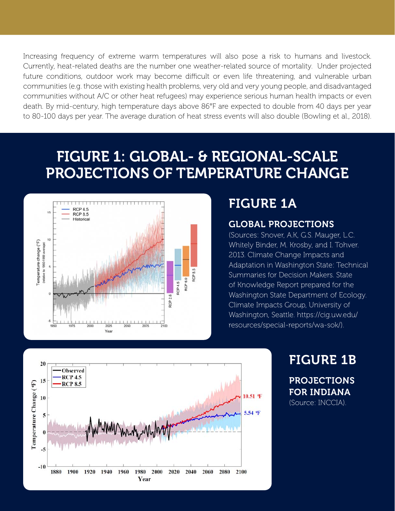Increasing frequency of extreme warm temperatures will also pose a risk to humans and livestock. Currently, heat-related deaths are the number one weather-related source of mortality. Under projected future conditions, outdoor work may become difficult or even life threatening, and vulnerable urban communities (e.g. those with existing health problems, very old and very young people, and disadvantaged communities without A/C or other heat refugees) may experience serious human health impacts or even death. By mid-century, high temperature days above 86°F are expected to double from 40 days per year to 80-100 days per year. The average duration of heat stress events will also double (Bowling et al., 2018).

### FIGURE 1: GLOBAL- & REGIONAL-SCALE PROJECTIONS OF TEMPERATURE CHANGE



#### FIGURE 1A

#### GLOBAL PROJECTIONS

(Sources: Snover, A.K, G.S. Mauger, L.C. Whitely Binder, M. Krosby, and I. Tohver. 2013. Climate Change Impacts and Adaptation in Washington State: Technical Summaries for Decision Makers. State of Knowledge Report prepared for the Washington State Department of Ecology. Climate Impacts Group, University of Washington, Seattle. https://cig.uw.edu/ resources/special-reports/wa-sok/).



#### FIGURE 1B

PROJECTIONS FOR INDIANA (Source: INCCIA).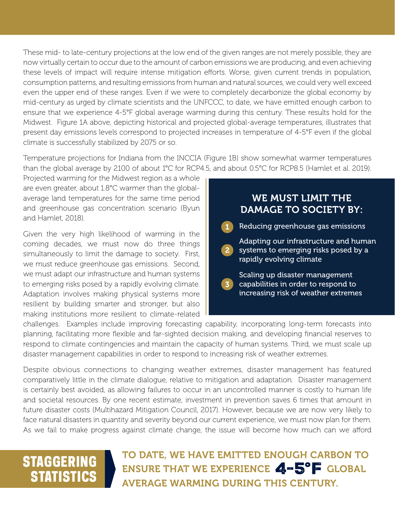These mid- to late-century projections at the low end of the given ranges are not merely possible, they are now virtually certain to occur due to the amount of carbon emissions we are producing, and even achieving these levels of impact will require intense mitigation efforts. Worse, given current trends in population, consumption patterns, and resulting emissions from human and natural sources, we could very well exceed even the upper end of these ranges. Even if we were to completely decarbonize the global economy by mid-century as urged by climate scientists and the UNFCCC, to date, we have emitted enough carbon to ensure that we experience 4-5°F global average warming during this century. These results hold for the Midwest. Figure 1A above, depicting historical and projected global-average temperatures, illustrates that present day emissions levels correspond to projected increases in temperature of 4-5°F even if the global climate is successfully stabilized by 2075 or so.

Temperature projections for Indiana from the INCCIA (Figure 1B) show somewhat warmer temperatures than the global average by 2100 of about 1°C for RCP4.5, and about 0.5°C for RCP8.5 (Hamlet et al. 2019).

Projected warming for the Midwest region as a whole are even greater, about 1.8°C warmer than the globalaverage land temperatures for the same time period and greenhouse gas concentration scenario (Byun and Hamlet, 2018).

Given the very high likelihood of warming in the coming decades, we must now do three things simultaneously to limit the damage to society. First, we must reduce greenhouse gas emissions. Second, we must adapt our infrastructure and human systems to emerging risks posed by a rapidly evolving climate. Adaptation involves making physical systems more resilient by building smarter and stronger, but also making institutions more resilient to climate-related

|                | WE MUST LIMIT THE<br><b>DAMAGE TO SOCIETY BY:</b>                                                            |
|----------------|--------------------------------------------------------------------------------------------------------------|
| 1              | Reducing greenhouse gas emissions                                                                            |
| $\overline{2}$ | Adapting our infrastructure and human<br>systems to emerging risks posed by a<br>rapidly evolving climate    |
| 3              | Scaling up disaster management<br>capabilities in order to respond to<br>increasing risk of weather extremes |

challenges. Examples include improving forecasting capability, incorporating long-term forecasts into planning, facilitating more flexible and far-sighted decision making, and developing financial reserves to respond to climate contingencies and maintain the capacity of human systems. Third, we must scale up disaster management capabilities in order to respond to increasing risk of weather extremes.

Despite obvious connections to changing weather extremes, disaster management has featured comparatively little in the climate dialogue, relative to mitigation and adaptation. Disaster management is certainly best avoided, as allowing failures to occur in an uncontrolled manner is costly to human life and societal resources. By one recent estimate, investment in prevention saves 6 times that amount in future disaster costs (Multihazard Mitigation Council, 2017). However, because we are now very likely to face natural disasters in quantity and severity beyond our current experience, we must now plan for them. As we fail to make progress against climate change, the issue will become how much can we afford

### STAGGERING **STATISTICS**

TO DATE, WE HAVE EMITTED ENOUGH CARBON TO ENSURE THAT WE EXPERIENCE 4-5°F GLOBAL AVERAGE WARMING DURING THIS CENTURY.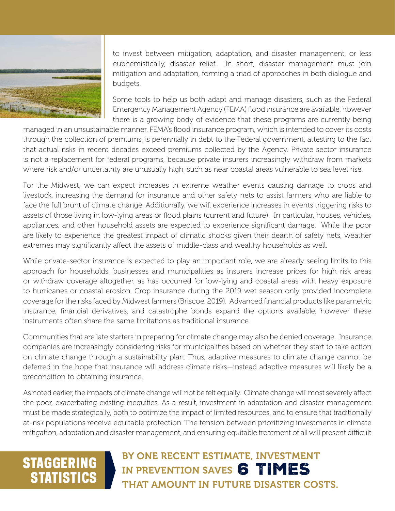

to invest between mitigation, adaptation, and disaster management, or less euphemistically, disaster relief. In short, disaster management must join mitigation and adaptation, forming a triad of approaches in both dialogue and budgets.

Some tools to help us both adapt and manage disasters, such as the Federal Emergency Management Agency (FEMA) flood insurance are available, however there is a growing body of evidence that these programs are currently being

managed in an unsustainable manner. FEMA's flood insurance program, which is intended to cover its costs through the collection of premiums, is perennially in debt to the Federal government, attesting to the fact that actual risks in recent decades exceed premiums collected by the Agency. Private sector insurance is not a replacement for federal programs, because private insurers increasingly withdraw from markets where risk and/or uncertainty are unusually high, such as near coastal areas vulnerable to sea level rise.

For the Midwest, we can expect increases in extreme weather events causing damage to crops and livestock, increasing the demand for insurance and other safety nets to assist farmers who are liable to face the full brunt of climate change. Additionally, we will experience increases in events triggering risks to assets of those living in low-lying areas or flood plains (current and future). In particular, houses, vehicles, appliances, and other household assets are expected to experience significant damage. While the poor are likely to experience the greatest impact of climatic shocks given their dearth of safety nets, weather extremes may significantly affect the assets of middle-class and wealthy households as well.

While private-sector insurance is expected to play an important role, we are already seeing limits to this approach for households, businesses and municipalities as insurers increase prices for high risk areas or withdraw coverage altogether, as has occurred for low-lying and coastal areas with heavy exposure to hurricanes or coastal erosion. Crop insurance during the 2019 wet season only provided incomplete coverage for the risks faced by Midwest farmers (Briscoe, 2019). Advanced financial products like parametric insurance, financial derivatives, and catastrophe bonds expand the options available, however these instruments often share the same limitations as traditional insurance.

Communities that are late starters in preparing for climate change may also be denied coverage. Insurance companies are increasingly considering risks for municipalities based on whether they start to take action on climate change through a sustainability plan. Thus, adaptive measures to climate change cannot be deferred in the hope that insurance will address climate risks—instead adaptive measures will likely be a precondition to obtaining insurance.

As noted earlier, the impacts of climate change will not be felt equally. Climate change will most severely affect the poor, exacerbating existing inequities. As a result, investment in adaptation and disaster management must be made strategically, both to optimize the impact of limited resources, and to ensure that traditionally at-risk populations receive equitable protection. The tension between prioritizing investments in climate mitigation, adaptation and disaster management, and ensuring equitable treatment of all will present difficult

### STAGGERING **STATISTICS**

#### BY ONE RECENT ESTIMATE, INVESTMENT IN PREVENTION SAVES 6 TIMES THAT AMOUNT IN FUTURE DISASTER COSTS.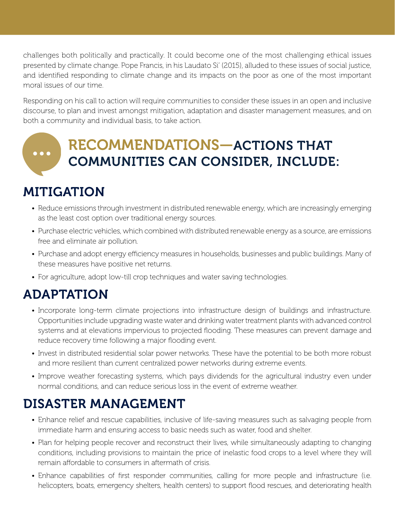challenges both politically and practically. It could become one of the most challenging ethical issues presented by climate change. Pope Francis, in his Laudato Si' (2015), alluded to these issues of social justice, and identified responding to climate change and its impacts on the poor as one of the most important moral issues of our time.

Responding on his call to action will require communities to consider these issues in an open and inclusive discourse, to plan and invest amongst mitigation, adaptation and disaster management measures, and on both a community and individual basis, to take action.

#### RECOMMENDATIONS—ACTIONS THAT COMMUNITIES CAN CONSIDER, INCLUDE:

#### MITIGATION

- Reduce emissions through investment in distributed renewable energy, which are increasingly emerging as the least cost option over traditional energy sources.
- Purchase electric vehicles, which combined with distributed renewable energy as a source, are emissions free and eliminate air pollution.
- Purchase and adopt energy efficiency measures in households, businesses and public buildings. Many of these measures have positive net returns.
- For agriculture, adopt low-till crop techniques and water saving technologies.

#### ADAPTATION

- Incorporate long-term climate projections into infrastructure design of buildings and infrastructure. Opportunities include upgrading waste water and drinking water treatment plants with advanced control systems and at elevations impervious to projected flooding. These measures can prevent damage and reduce recovery time following a major flooding event.
- Invest in distributed residential solar power networks. These have the potential to be both more robust and more resilient than current centralized power networks during extreme events.
- Improve weather forecasting systems, which pays dividends for the agricultural industry even under normal conditions, and can reduce serious loss in the event of extreme weather.

#### DISASTER MANAGEMENT

- Enhance relief and rescue capabilities, inclusive of life-saving measures such as salvaging people from immediate harm and ensuring access to basic needs such as water, food and shelter.
- Plan for helping people recover and reconstruct their lives, while simultaneously adapting to changing conditions, including provisions to maintain the price of inelastic food crops to a level where they will remain affordable to consumers in aftermath of crisis.
- Enhance capabilities of first responder communities, calling for more people and infrastructure (i.e. helicopters, boats, emergency shelters, health centers) to support flood rescues, and deteriorating health